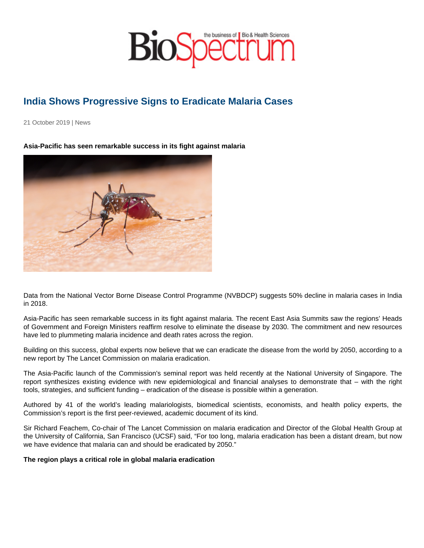## India Shows Progressive Signs to Eradicate Malaria Cases

21 October 2019 | News

Asia-Pacific has seen remarkable success in its fight against malaria

Data from the National Vector Borne Disease Control Programme (NVBDCP) suggests 50% decline in malaria cases in India in 2018.

Asia-Pacific has seen remarkable success in its fight against malaria. The recent East Asia Summits saw the regions' Heads of Government and Foreign Ministers reaffirm resolve to eliminate the disease by 2030. The commitment and new resources have led to plummeting malaria incidence and death rates across the region.

Building on this success, global experts now believe that we can eradicate the disease from the world by 2050, according to a new report by The Lancet Commission on malaria eradication.

The Asia-Pacific launch of the Commission's seminal report was held recently at the National University of Singapore. The report synthesizes existing evidence with new epidemiological and financial analyses to demonstrate that – with the right tools, strategies, and sufficient funding – eradication of the disease is possible within a generation.

Authored by 41 of the world's leading malariologists, biomedical scientists, economists, and health policy experts, the Commission's report is the first peer-reviewed, academic document of its kind.

Sir Richard Feachem, Co-chair of The Lancet Commission on malaria eradication and Director of the Global Health Group at the University of California, San Francisco (UCSF) said, "For too long, malaria eradication has been a distant dream, but now we have evidence that malaria can and should be eradicated by 2050."

The region plays a critical role in global malaria eradication